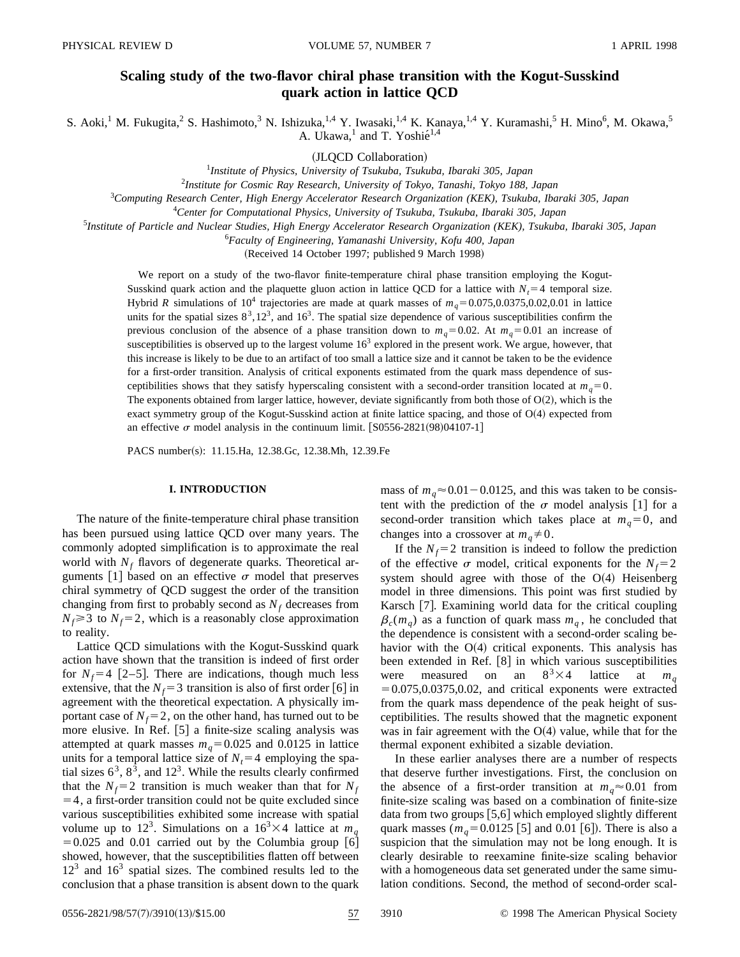# **Scaling study of the two-flavor chiral phase transition with the Kogut-Susskind quark action in lattice QCD**

S. Aoki,<sup>1</sup> M. Fukugita,<sup>2</sup> S. Hashimoto,<sup>3</sup> N. Ishizuka,<sup>1,4</sup> Y. Iwasaki,<sup>1,4</sup> K. Kanaya,<sup>1,4</sup> Y. Kuramashi,<sup>5</sup> H. Mino<sup>6</sup>, M. Okawa,<sup>5</sup> A. Ukawa, $^1$  and T. Yoshi $\acute{e}^{1,4}$ 

(JLQCD Collaboration)

1 *Institute of Physics, University of Tsukuba, Tsukuba, Ibaraki 305, Japan*

2 *Institute for Cosmic Ray Research, University of Tokyo, Tanashi, Tokyo 188, Japan*

3 *Computing Research Center, High Energy Accelerator Research Organization (KEK), Tsukuba, Ibaraki 305, Japan*

4 *Center for Computational Physics, University of Tsukuba, Tsukuba, Ibaraki 305, Japan*

5 *Institute of Particle and Nuclear Studies, High Energy Accelerator Research Organization (KEK), Tsukuba, Ibaraki 305, Japan*

6 *Faculty of Engineering, Yamanashi University, Kofu 400, Japan*

(Received 14 October 1997; published 9 March 1998)

We report on a study of the two-flavor finite-temperature chiral phase transition employing the Kogut-Susskind quark action and the plaquette gluon action in lattice QCD for a lattice with  $N_t=4$  temporal size. Hybrid *R* simulations of 10<sup>4</sup> trajectories are made at quark masses of  $m_q = 0.075,0.0375,0.02,0.01$  in lattice units for the spatial sizes  $8^3$ ,12<sup>3</sup>, and 16<sup>3</sup>. The spatial size dependence of various susceptibilities confirm the previous conclusion of the absence of a phase transition down to  $m_q=0.02$ . At  $m_q=0.01$  an increase of susceptibilities is observed up to the largest volume  $16<sup>3</sup>$  explored in the present work. We argue, however, that this increase is likely to be due to an artifact of too small a lattice size and it cannot be taken to be the evidence for a first-order transition. Analysis of critical exponents estimated from the quark mass dependence of susceptibilities shows that they satisfy hyperscaling consistent with a second-order transition located at  $m_q = 0$ . The exponents obtained from larger lattice, however, deviate significantly from both those of  $O(2)$ , which is the exact symmetry group of the Kogut-Susskind action at finite lattice spacing, and those of  $O(4)$  expected from an effective  $\sigma$  model analysis in the continuum limit.  $[$ S0556-2821(98)04107-1<sup>†</sup>

PACS number(s): 11.15.Ha, 12.38.Gc, 12.38.Mh, 12.39.Fe

# **I. INTRODUCTION**

The nature of the finite-temperature chiral phase transition has been pursued using lattice QCD over many years. The commonly adopted simplification is to approximate the real world with  $N_f$  flavors of degenerate quarks. Theoretical arguments [1] based on an effective  $\sigma$  model that preserves chiral symmetry of QCD suggest the order of the transition changing from first to probably second as  $N_f$  decreases from  $N_f \geq 3$  to  $N_f = 2$ , which is a reasonably close approximation to reality.

Lattice QCD simulations with the Kogut-Susskind quark action have shown that the transition is indeed of first order for  $N_f$ =4 [2–5]. There are indications, though much less extensive, that the  $N_f=3$  transition is also of first order [6] in agreement with the theoretical expectation. A physically important case of  $N_f$ = 2, on the other hand, has turned out to be more elusive. In Ref. [5] a finite-size scaling analysis was attempted at quark masses  $m_q = 0.025$  and 0.0125 in lattice units for a temporal lattice size of  $N<sub>t</sub>=4$  employing the spatial sizes  $6^3$ ,  $8^3$ , and  $12^3$ . While the results clearly confirmed that the  $N_f=2$  transition is much weaker than that for  $N_f$  $=$  4, a first-order transition could not be quite excluded since various susceptibilities exhibited some increase with spatial volume up to 12<sup>3</sup>. Simulations on a  $16<sup>3</sup> \times 4$  lattice at  $m_q$  $=0.025$  and 0.01 carried out by the Columbia group [6] showed, however, that the susceptibilities flatten off between  $12<sup>3</sup>$  and  $16<sup>3</sup>$  spatial sizes. The combined results led to the conclusion that a phase transition is absent down to the quark mass of  $m_q \approx 0.01 - 0.0125$ , and this was taken to be consistent with the prediction of the  $\sigma$  model analysis [1] for a second-order transition which takes place at  $m_q=0$ , and changes into a crossover at  $m_q \neq 0$ .

If the  $N_f$ =2 transition is indeed to follow the prediction of the effective  $\sigma$  model, critical exponents for the  $N_f=2$ system should agree with those of the  $O(4)$  Heisenberg model in three dimensions. This point was first studied by Karsch [7]. Examining world data for the critical coupling  $\beta_c(m_q)$  as a function of quark mass  $m_q$ , he concluded that the dependence is consistent with a second-order scaling behavior with the  $O(4)$  critical exponents. This analysis has been extended in Ref.  $[8]$  in which various susceptibilities were measured on an  $8^{3} \times 4$  lattice at  $m_{q}$  $=0.075,0.0375,0.02$ , and critical exponents were extracted from the quark mass dependence of the peak height of susceptibilities. The results showed that the magnetic exponent was in fair agreement with the  $O(4)$  value, while that for the thermal exponent exhibited a sizable deviation.

In these earlier analyses there are a number of respects that deserve further investigations. First, the conclusion on the absence of a first-order transition at  $m_q \approx 0.01$  from finite-size scaling was based on a combination of finite-size data from two groups  $[5,6]$  which employed slightly different quark masses ( $m_q$ =0.0125 [5] and 0.01 [6]). There is also a suspicion that the simulation may not be long enough. It is clearly desirable to reexamine finite-size scaling behavior with a homogeneous data set generated under the same simulation conditions. Second, the method of second-order scal-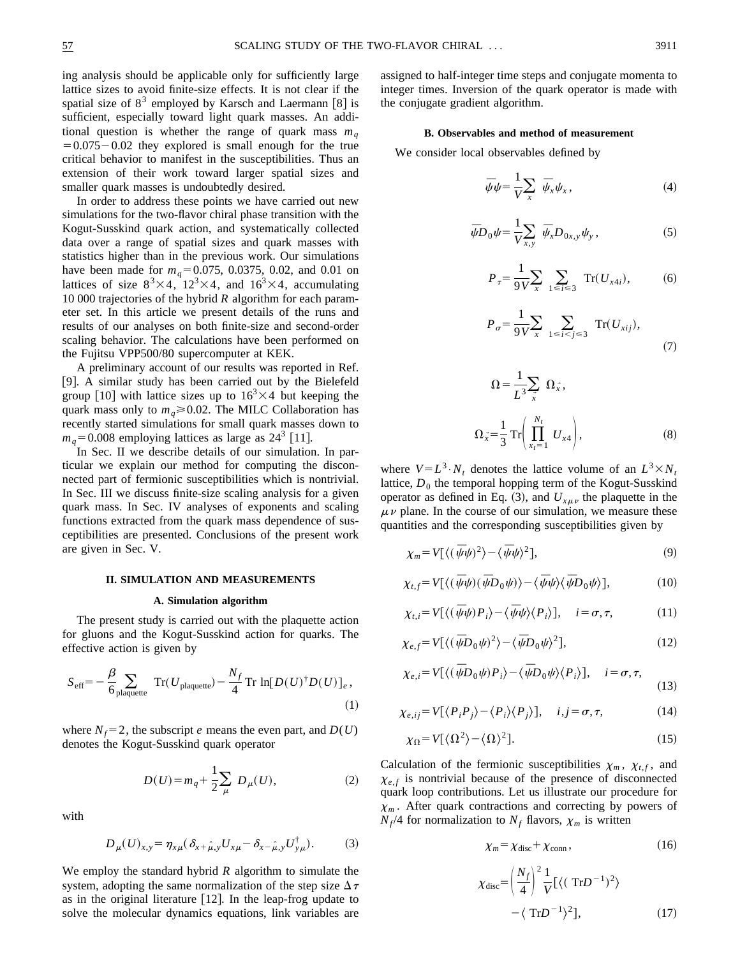ing analysis should be applicable only for sufficiently large lattice sizes to avoid finite-size effects. It is not clear if the spatial size of  $8<sup>3</sup>$  employed by Karsch and Laermann [8] is sufficient, especially toward light quark masses. An additional question is whether the range of quark mass  $m_q$  $=0.075-0.02$  they explored is small enough for the true critical behavior to manifest in the susceptibilities. Thus an extension of their work toward larger spatial sizes and smaller quark masses is undoubtedly desired.

In order to address these points we have carried out new simulations for the two-flavor chiral phase transition with the Kogut-Susskind quark action, and systematically collected data over a range of spatial sizes and quark masses with statistics higher than in the previous work. Our simulations have been made for  $m_q = 0.075$ , 0.0375, 0.02, and 0.01 on lattices of size  $8^3 \times 4$ ,  $12^3 \times 4$ , and  $16^3 \times 4$ , accumulating 10 000 trajectories of the hybrid *R* algorithm for each parameter set. In this article we present details of the runs and results of our analyses on both finite-size and second-order scaling behavior. The calculations have been performed on the Fujitsu VPP500/80 supercomputer at KEK.

A preliminary account of our results was reported in Ref. @9#. A similar study has been carried out by the Bielefeld group [10] with lattice sizes up to  $16<sup>3</sup> \times 4$  but keeping the quark mass only to  $m_q \ge 0.02$ . The MILC Collaboration has recently started simulations for small quark masses down to  $m_q$ =0.008 employing lattices as large as 24<sup>3</sup> [11].

In Sec. II we describe details of our simulation. In particular we explain our method for computing the disconnected part of fermionic susceptibilities which is nontrivial. In Sec. III we discuss finite-size scaling analysis for a given quark mass. In Sec. IV analyses of exponents and scaling functions extracted from the quark mass dependence of susceptibilities are presented. Conclusions of the present work are given in Sec. V.

#### **II. SIMULATION AND MEASUREMENTS**

#### **A. Simulation algorithm**

The present study is carried out with the plaquette action for gluons and the Kogut-Susskind action for quarks. The effective action is given by

$$
S_{\text{eff}} = -\frac{\beta}{6} \sum_{\text{plaquette}} \text{Tr}(U_{\text{plaquette}}) - \frac{N_f}{4} \text{Tr} \ln[D(U)^{\dagger} D(U)]_e, \tag{1}
$$

where  $N_f$ =2, the subscript *e* means the even part, and  $D(U)$ denotes the Kogut-Susskind quark operator

$$
D(U) = m_q + \frac{1}{2} \sum_{\mu} D_{\mu}(U),
$$
 (2)

with

$$
D_{\mu}(U)_{x,y} = \eta_{x\mu} (\delta_{x+\hat{\mu},y} U_{x\mu} - \delta_{x-\hat{\mu},y} U_{y\mu}^{\dagger}). \tag{3}
$$

We employ the standard hybrid *R* algorithm to simulate the system, adopting the same normalization of the step size  $\Delta \tau$ as in the original literature  $[12]$ . In the leap-frog update to solve the molecular dynamics equations, link variables are assigned to half-integer time steps and conjugate momenta to integer times. Inversion of the quark operator is made with the conjugate gradient algorithm.

### **B. Observables and method of measurement**

We consider local observables defined by

$$
\bar{\psi}\psi = \frac{1}{V} \sum_{x} \bar{\psi}_x \psi_x, \qquad (4)
$$

$$
\overline{\psi}D_0\psi = \frac{1}{V_{x,y}} \overline{\psi}_x D_{0x,y} \psi_y, \qquad (5)
$$

$$
P_{\tau} = \frac{1}{9V} \sum_{x} \sum_{1 \le i \le 3} \text{Tr}(U_{x4i}), \quad (6)
$$

$$
P_{\sigma} = \frac{1}{9V} \sum_{x} \sum_{1 \le i < j \le 3} \operatorname{Tr}(U_{xij}),\tag{7}
$$

$$
\Omega = \frac{1}{L^3} \sum_{x} \Omega_x^*,
$$
  

$$
\Omega_x^* = \frac{1}{3} \operatorname{Tr} \left( \prod_{x_t=1}^{N_t} U_{x4} \right),
$$
 (8)

where  $V = L^3 \tcdot N_t$  denotes the lattice volume of an  $L^3 \times N_t$ lattice,  $D_0$  the temporal hopping term of the Kogut-Susskind operator as defined in Eq. (3), and  $U_{x\mu\nu}$  the plaquette in the  $\mu\nu$  plane. In the course of our simulation, we measure these quantities and the corresponding susceptibilities given by

V*<sup>x</sup>*

$$
\chi_m = V[\langle (\bar{\psi}\psi)^2 \rangle - \langle \bar{\psi}\psi \rangle^2],\tag{9}
$$

$$
\chi_{t,f} = V[\langle (\bar{\psi}\psi)(\bar{\psi}D_0\psi)\rangle - \langle \bar{\psi}\psi\rangle \langle \bar{\psi}D_0\psi\rangle],\tag{10}
$$

$$
\chi_{t,i} = V[\langle (\bar{\psi}\psi)P_i \rangle - \langle \bar{\psi}\psi \rangle \langle P_i \rangle], \quad i = \sigma, \tau,
$$
 (11)

$$
\chi_{e,f} = V[\langle (\overline{\psi}D_0\psi)^2 \rangle - \langle \overline{\psi}D_0\psi \rangle^2],\tag{12}
$$

$$
\chi_{e,i} = V[\langle (\bar{\psi}D_0\psi)P_i \rangle - \langle \bar{\psi}D_0\psi \rangle \langle P_i \rangle], \quad i = \sigma, \tau,
$$
\n(13)

$$
\chi_{e,ij} = V[\langle P_i P_j \rangle - \langle P_i \rangle \langle P_j \rangle], \quad i,j = \sigma, \tau,
$$
\n(14)

$$
\chi_{\Omega} = V[\langle \Omega^2 \rangle - \langle \Omega \rangle^2]. \tag{15}
$$

Calculation of the fermionic susceptibilities  $\chi_m$ ,  $\chi_{t,f}$ , and  $\chi_{e,f}$  is nontrivial because of the presence of disconnected quark loop contributions. Let us illustrate our procedure for  $\chi_m$ . After quark contractions and correcting by powers of  $N_f/4$  for normalization to  $N_f$  flavors,  $\chi_m$  is written

$$
\chi_m = \chi_{\text{disc}} + \chi_{\text{conn}}\,,\tag{16}
$$

$$
\chi_{\text{disc}} = \left(\frac{N_f}{4}\right)^2 \frac{1}{V} \left[\langle (\text{Tr} D^{-1})^2 \rangle - \langle \text{Tr} D^{-1} \rangle^2 \right],\tag{17}
$$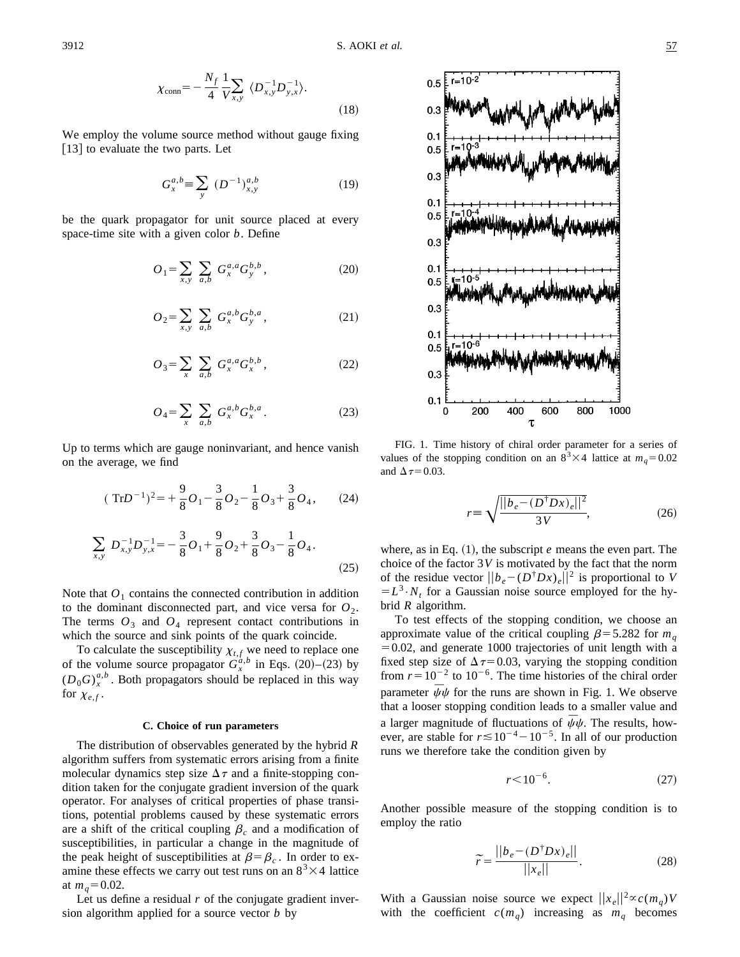$$
\chi_{\text{conn}} = -\frac{N_f}{4} \frac{1}{V} \sum_{x,y} \langle D_{x,y}^{-1} D_{y,x}^{-1} \rangle.
$$
 (18)

We employ the volume source method without gauge fixing  $|13|$  to evaluate the two parts. Let

$$
G_x^{a,b} \equiv \sum_{y} (D^{-1})_{x,y}^{a,b} \tag{19}
$$

be the quark propagator for unit source placed at every space-time site with a given color *b*. Define

$$
O_1 = \sum_{x,y} \sum_{a,b} G_x^{a,a} G_y^{b,b}, \qquad (20)
$$

$$
O_2 = \sum_{x,y} \sum_{a,b} G_x^{a,b} G_y^{b,a}, \qquad (21)
$$

$$
O_3 = \sum_x \sum_{a,b} G_x^{a,a} G_x^{b,b}, \qquad (22)
$$

$$
O_4 = \sum_x \sum_{a,b} G_x^{a,b} G_x^{b,a}.
$$
 (23)

Up to terms which are gauge noninvariant, and hence vanish on the average, we find

$$
(\text{Tr}D^{-1})^2 = +\frac{9}{8}O_1 - \frac{3}{8}O_2 - \frac{1}{8}O_3 + \frac{3}{8}O_4, \qquad (24)
$$

$$
\sum_{x,y} D_{x,y}^{-1} D_{y,x}^{-1} = -\frac{3}{8} O_1 + \frac{9}{8} O_2 + \frac{3}{8} O_3 - \frac{1}{8} O_4.
$$
\n(25)

Note that  $O_1$  contains the connected contribution in addition to the dominant disconnected part, and vice versa for  $O_2$ . The terms  $O_3$  and  $O_4$  represent contact contributions in which the source and sink points of the quark coincide.

To calculate the susceptibility  $\chi_{t,f}$  we need to replace one of the volume source propagator  $G_x^{a,b}$  in Eqs. (20)–(23) by  $(D_0G)_x^{a,b}$ . Both propagators should be replaced in this way for  $\chi_{e,f}$ .

#### **C. Choice of run parameters**

The distribution of observables generated by the hybrid *R* algorithm suffers from systematic errors arising from a finite molecular dynamics step size  $\Delta \tau$  and a finite-stopping condition taken for the conjugate gradient inversion of the quark operator. For analyses of critical properties of phase transitions, potential problems caused by these systematic errors are a shift of the critical coupling  $\beta_c$  and a modification of susceptibilities, in particular a change in the magnitude of the peak height of susceptibilities at  $\beta = \beta_c$ . In order to examine these effects we carry out test runs on an  $8<sup>3</sup> \times 4$  lattice at  $m_q = 0.02$ .

Let us define a residual *r* of the conjugate gradient inversion algorithm applied for a source vector *b* by



FIG. 1. Time history of chiral order parameter for a series of values of the stopping condition on an  $8^3 \times 4$  lattice at  $m_q = 0.02$ and  $\Delta \tau = 0.03$ .

$$
r \equiv \sqrt{\frac{||b_e - (D^{\dagger} D x)_e||^2}{3V}},
$$
 (26)

where, as in Eq.  $(1)$ , the subscript  $e$  means the even part. The choice of the factor  $3V$  is motivated by the fact that the norm of the residue vector  $||b_e - (D^{\dagger}Dx)_e||^2$  is proportional to *V*  $=L^3 \tcdot N_t$  for a Gaussian noise source employed for the hybrid *R* algorithm.

To test effects of the stopping condition, we choose an approximate value of the critical coupling  $\beta$ =5.282 for  $m_q$  $=0.02$ , and generate 1000 trajectories of unit length with a fixed step size of  $\Delta \tau$ =0.03, varying the stopping condition from  $r=10^{-2}$  to  $10^{-6}$ . The time histories of the chiral order parameter  $\bar{\psi}\psi$  for the runs are shown in Fig. 1. We observe that a looser stopping condition leads to a smaller value and a larger magnitude of fluctuations of  $\bar{\psi}\psi$ . The results, however, are stable for  $r \lesssim 10^{-4} - 10^{-5}$ . In all of our production runs we therefore take the condition given by

$$
r \le 10^{-6}.\tag{27}
$$

Another possible measure of the stopping condition is to employ the ratio

$$
\widetilde{r} = \frac{||b_e - (D^{\dagger} D x)_e||}{||x_e||}.
$$
\n(28)

With a Gaussian noise source we expect  $||x_e||^2 \propto c(m_q)V$ with the coefficient  $c(m_q)$  increasing as  $m_q$  becomes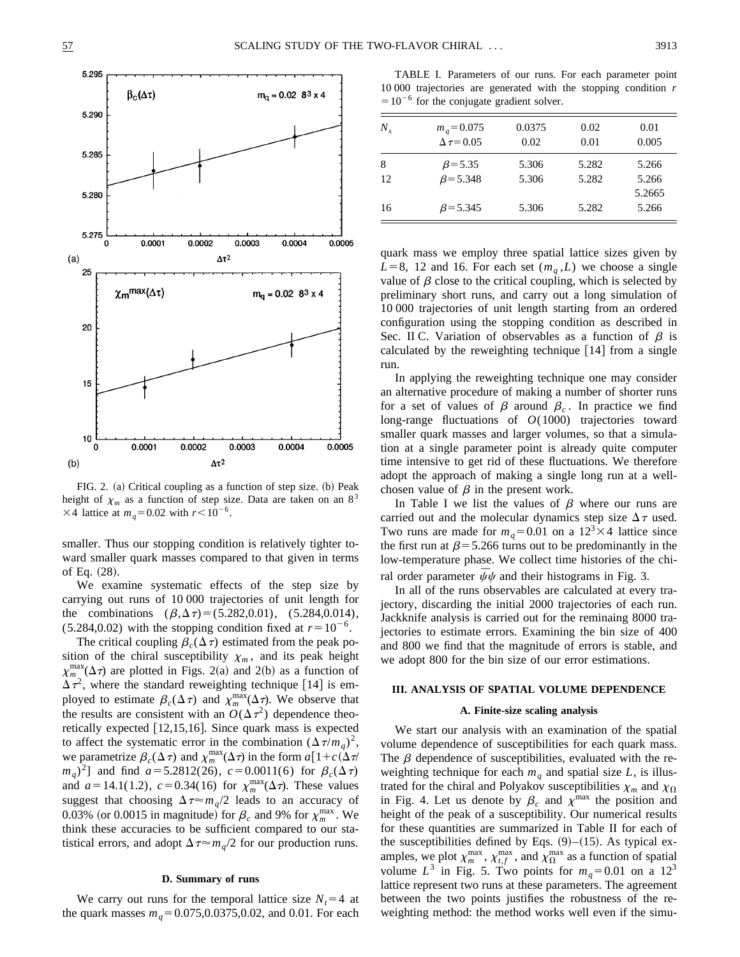

FIG. 2. (a) Critical coupling as a function of step size. (b) Peak height of  $\chi_m$  as a function of step size. Data are taken on an 8<sup>3</sup>  $\times$ 4 lattice at *m<sub>q</sub>*=0.02 with *r*<10<sup>-6</sup>.

smaller. Thus our stopping condition is relatively tighter toward smaller quark masses compared to that given in terms of Eq.  $(28)$ .

We examine systematic effects of the step size by carrying out runs of 10 000 trajectories of unit length for the combinations  $(\beta, \Delta \tau) = (5.282, 0.01)$ , (5.284,0.014),  $(5.284, 0.02)$  with the stopping condition fixed at  $r=10^{-6}$ .

The critical coupling  $\beta_c(\Delta \tau)$  estimated from the peak position of the chiral susceptibility  $\chi_m$ , and its peak height  $\chi_{m}^{\max}(\Delta \tau)$  are plotted in Figs. 2(a) and 2(b) as a function of  $\Delta \tau^2$ , where the standard reweighting technique [14] is employed to estimate  $\beta_c(\Delta \tau)$  and  $\chi_m^{\max}(\Delta \tau)$ . We observe that the results are consistent with an  $O(\Delta \tau^2)$  dependence theoretically expected  $[12,15,16]$ . Since quark mass is expected to affect the systematic error in the combination  $(\Delta \tau/m_q)^2$ , we parametrize  $\beta_c(\Delta \tau)$  and  $\chi_m^{\max}(\Delta \tau)$  in the form  $a[1+c(\Delta \tau)]$  $(m_q)^2$ ] and find  $a=5.2812(26)$ ,  $c=0.0011(6)$  for  $\beta_c(\Delta \tau)$ and  $a=14.1(1.2)$ ,  $c=0.34(16)$  for  $\chi_m^{\text{max}}(\Delta \tau)$ . These values suggest that choosing  $\Delta \tau \approx m_q/2$  leads to an accuracy of 0.03% (or 0.0015 in magnitude) for  $\beta_c$  and 9% for  $\chi_m^{\text{max}}$ . We think these accuracies to be sufficient compared to our statistical errors, and adopt  $\Delta \tau \approx m_q/2$  for our production runs.

#### **D. Summary of runs**

We carry out runs for the temporal lattice size  $N_t=4$  at the quark masses  $m_q = 0.075, 0.0375, 0.02$ , and 0.01. For each

TABLE I. Parameters of our runs. For each parameter point 10 000 trajectories are generated with the stopping condition *r*  $=10^{-6}$  for the conjugate gradient solver.

| $N_{\rm s}$ | $m_q = 0.075$<br>$\Delta \tau = 0.05$ | 0.0375<br>0.02 | 0.02<br>0.01 | 0.01<br>0.005   |
|-------------|---------------------------------------|----------------|--------------|-----------------|
| 8           | $\beta$ = 5.35                        | 5.306          | 5.282        | 5.266           |
| 12          | $\beta$ = 5.348                       | 5.306          | 5.282        | 5.266<br>5.2665 |
| 16          | $\beta$ = 5.345                       | 5.306          | 5.282        | 5.266           |

quark mass we employ three spatial lattice sizes given by  $L=8$ , 12 and 16. For each set  $(m_a, L)$  we choose a single value of  $\beta$  close to the critical coupling, which is selected by preliminary short runs, and carry out a long simulation of 10 000 trajectories of unit length starting from an ordered configuration using the stopping condition as described in Sec. II C. Variation of observables as a function of  $\beta$  is calculated by the reweighting technique  $[14]$  from a single run.

In applying the reweighting technique one may consider an alternative procedure of making a number of shorter runs for a set of values of  $\beta$  around  $\beta_c$ . In practice we find long-range fluctuations of *O*(1000) trajectories toward smaller quark masses and larger volumes, so that a simulation at a single parameter point is already quite computer time intensive to get rid of these fluctuations. We therefore adopt the approach of making a single long run at a wellchosen value of  $\beta$  in the present work.

In Table I we list the values of  $\beta$  where our runs are carried out and the molecular dynamics step size  $\Delta \tau$  used. Two runs are made for  $m_q = 0.01$  on a  $12<sup>3</sup> \times 4$  lattice since the first run at  $\beta$ =5.266 turns out to be predominantly in the low-temperature phase. We collect time histories of the chiral order parameter  $\bar{\psi}\psi$  and their histograms in Fig. 3.

In all of the runs observables are calculated at every trajectory, discarding the initial 2000 trajectories of each run. Jackknife analysis is carried out for the reminaing 8000 trajectories to estimate errors. Examining the bin size of 400 and 800 we find that the magnitude of errors is stable, and we adopt 800 for the bin size of our error estimations.

# **III. ANALYSIS OF SPATIAL VOLUME DEPENDENCE**

# **A. Finite-size scaling analysis**

We start our analysis with an examination of the spatial volume dependence of susceptibilities for each quark mass. The  $\beta$  dependence of susceptibilities, evaluated with the reweighting technique for each  $m_q$  and spatial size  $L$ , is illustrated for the chiral and Polyakov susceptibilities  $\chi_m$  and  $\chi_{\Omega}$ in Fig. 4. Let us denote by  $\beta_c$  and  $\chi^{\text{max}}$  the position and height of the peak of a susceptibility. Our numerical results for these quantities are summarized in Table II for each of the susceptibilities defined by Eqs.  $(9)$ – $(15)$ . As typical examples, we plot  $\chi_m^{\text{max}}$ ,  $\chi_{t,f}^{\text{max}}$ , and  $\chi_{\Omega}^{\text{max}}$  as a function of spatial volume  $L^3$  in Fig. 5. Two points for  $m_q=0.01$  on a 12<sup>3</sup> lattice represent two runs at these parameters. The agreement between the two points justifies the robustness of the reweighting method: the method works well even if the simu-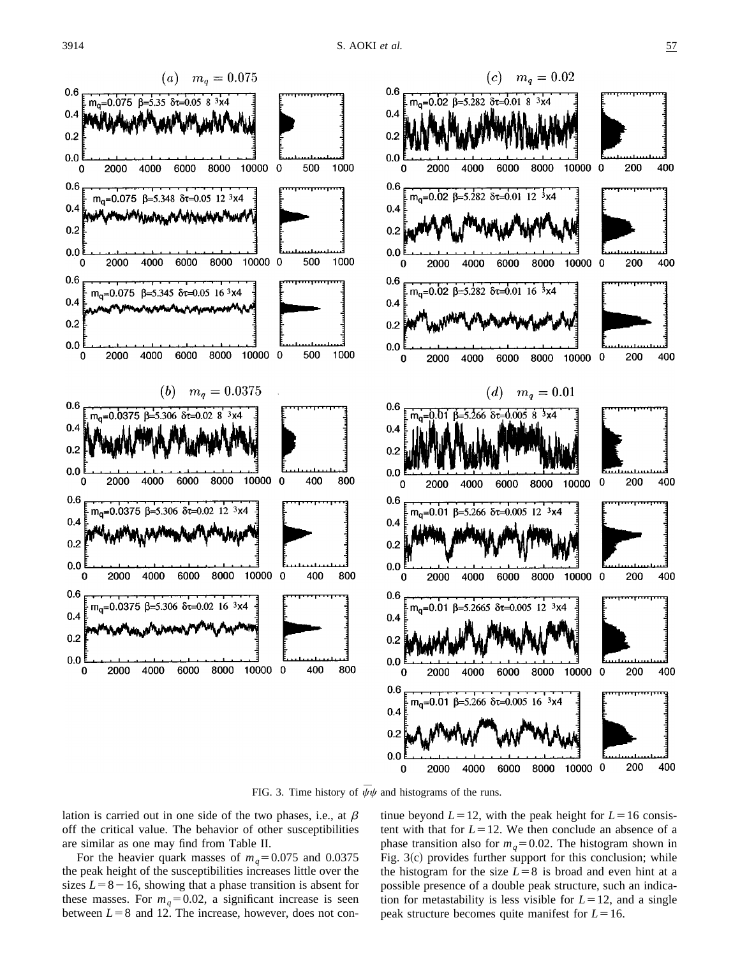

FIG. 3. Time history of  $\bar{\psi}\psi$  and histograms of the runs.

lation is carried out in one side of the two phases, i.e., at  $\beta$ off the critical value. The behavior of other susceptibilities are similar as one may find from Table II.

For the heavier quark masses of  $m_q = 0.075$  and 0.0375 the peak height of the susceptibilities increases little over the sizes  $L=8-16$ , showing that a phase transition is absent for these masses. For  $m_q=0.02$ , a significant increase is seen between  $L=8$  and 12. The increase, however, does not continue beyond  $L=12$ , with the peak height for  $L=16$  consistent with that for  $L=12$ . We then conclude an absence of a phase transition also for  $m_q = 0.02$ . The histogram shown in Fig.  $3(c)$  provides further support for this conclusion; while the histogram for the size  $L=8$  is broad and even hint at a possible presence of a double peak structure, such an indication for metastability is less visible for  $L=12$ , and a single peak structure becomes quite manifest for  $L=16$ .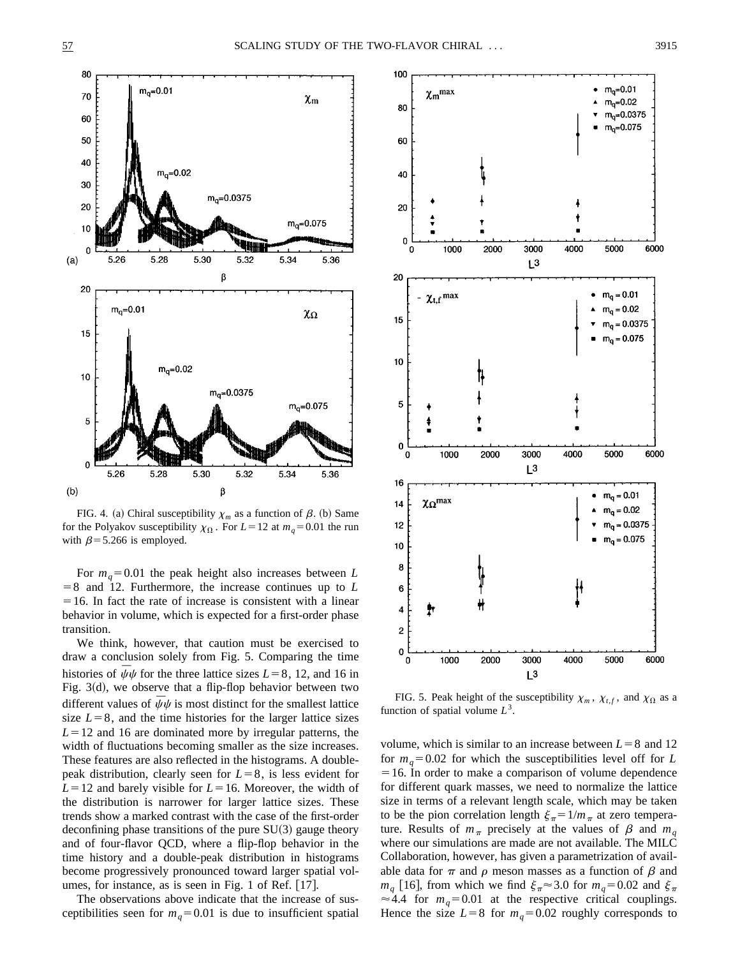

FIG. 4. (a) Chiral susceptibility  $\chi_m$  as a function of  $\beta$ . (b) Same for the Polyakov susceptibility  $\chi_{\Omega}$ . For  $L=12$  at  $m_q=0.01$  the run with  $\beta$ =5.266 is employed.

For  $m_q = 0.01$  the peak height also increases between *L*  $=8$  and 12. Furthermore, the increase continues up to L  $=16$ . In fact the rate of increase is consistent with a linear behavior in volume, which is expected for a first-order phase transition.

We think, however, that caution must be exercised to draw a conclusion solely from Fig. 5. Comparing the time histories of  $\bar{\psi}\psi$  for the three lattice sizes  $L=8$ , 12, and 16 in Fig.  $3(d)$ , we observe that a flip-flop behavior between two different values of  $\bar{\psi}\psi$  is most distinct for the smallest lattice size  $L=8$ , and the time histories for the larger lattice sizes  $L=12$  and 16 are dominated more by irregular patterns, the width of fluctuations becoming smaller as the size increases. These features are also reflected in the histograms. A doublepeak distribution, clearly seen for  $L=8$ , is less evident for  $L=12$  and barely visible for  $L=16$ . Moreover, the width of the distribution is narrower for larger lattice sizes. These trends show a marked contrast with the case of the first-order deconfining phase transitions of the pure  $SU(3)$  gauge theory and of four-flavor QCD, where a flip-flop behavior in the time history and a double-peak distribution in histograms become progressively pronounced toward larger spatial volumes, for instance, as is seen in Fig. 1 of Ref.  $[17]$ .

The observations above indicate that the increase of susceptibilities seen for  $m_q = 0.01$  is due to insufficient spatial



FIG. 5. Peak height of the susceptibility  $\chi_m$ ,  $\chi_{t,f}$ , and  $\chi_{\Omega}$  as a function of spatial volume  $L^3$ .

volume, which is similar to an increase between  $L=8$  and 12 for  $m_q=0.02$  for which the susceptibilities level off for *L*  $=16$ . In order to make a comparison of volume dependence for different quark masses, we need to normalize the lattice size in terms of a relevant length scale, which may be taken to be the pion correlation length  $\xi_{\pi} = 1/m_{\pi}$  at zero temperature. Results of  $m_\pi$  precisely at the values of  $\beta$  and  $m_\alpha$ where our simulations are made are not available. The MILC Collaboration, however, has given a parametrization of available data for  $\pi$  and  $\rho$  meson masses as a function of  $\beta$  and  $m_q$  [16], from which we find  $\xi_{\pi} \approx 3.0$  for  $m_q = 0.02$  and  $\xi_{\pi}$  $\approx$  4.4 for  $m_q$ = 0.01 at the respective critical couplings. Hence the size  $L=8$  for  $m_q=0.02$  roughly corresponds to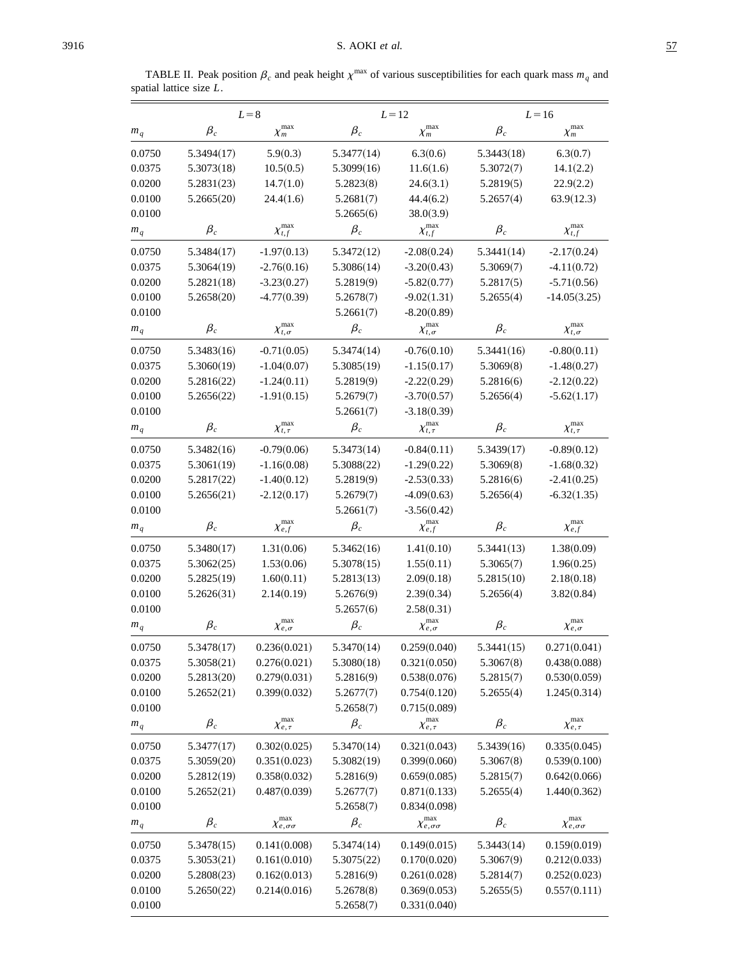E,

TABLE II. Peak position  $\beta_c$  and peak height  $\chi^{\text{max}}$  of various susceptibilities for each quark mass  $m_q$  and spatial lattice size *L*.

|                      | $L = 8$    |                                   |                 | $L=12$                            | $L = 16$        |                                        |
|----------------------|------------|-----------------------------------|-----------------|-----------------------------------|-----------------|----------------------------------------|
| $m_q$                | $\beta_c$  | $\chi_m^{\rm max}$                | $\beta_c$       | $\chi_m^{\rm max}$                | $\beta_c$       | $\chi_m^{\rm max}$                     |
| 0.0750               | 5.3494(17) | 5.9(0.3)                          | 5.3477(14)      | 6.3(0.6)                          | 5.3443(18)      | 6.3(0.7)                               |
| 0.0375               | 5.3073(18) | 10.5(0.5)                         | 5.3099(16)      | 11.6(1.6)                         | 5.3072(7)       | 14.1(2.2)                              |
| 0.0200               | 5.2831(23) | 14.7(1.0)                         | 5.2823(8)       | 24.6(3.1)                         | 5.2819(5)       | 22.9(2.2)                              |
| 0.0100               | 5.2665(20) | 24.4(1.6)                         | 5.2681(7)       | 44.4(6.2)                         | 5.2657(4)       | 63.9(12.3)                             |
| 0.0100               |            |                                   | 5.2665(6)       | 38.0(3.9)                         |                 |                                        |
| $m_{\boldsymbol{q}}$ | $\beta_c$  | $\chi_{t,f}^{\max}$               | $\beta_c$       | $\chi_{t,f}^{\rm max}$            | $\beta_c$       | $\chi_{t,f}^{\rm max}$                 |
| 0.0750               | 5.3484(17) | $-1.97(0.13)$                     | 5.3472(12)      | $-2.08(0.24)$                     | 5.3441(14)      | $-2.17(0.24)$                          |
| 0.0375               | 5.3064(19) | $-2.76(0.16)$                     | 5.3086(14)      | $-3.20(0.43)$                     | 5.3069(7)       | $-4.11(0.72)$                          |
| 0.0200               | 5.2821(18) | $-3.23(0.27)$                     | 5.2819(9)       | $-5.82(0.77)$                     | 5.2817(5)       | $-5.71(0.56)$                          |
| 0.0100               | 5.2658(20) | $-4.77(0.39)$                     | 5.2678(7)       | $-9.02(1.31)$                     | 5.2655(4)       | $-14.05(3.25)$                         |
| 0.0100               |            |                                   | 5.2661(7)       | $-8.20(0.89)$                     |                 |                                        |
| $m_q\,$              | $\beta_c$  | $\chi_{t,\sigma}^{\max}$          | $\beta_c$       | $\chi_{t,\sigma}^{\max}$          | $\beta_c$       | $\chi_{t,\sigma}^{\max}$               |
| 0.0750               | 5.3483(16) | $-0.71(0.05)$                     | 5.3474(14)      | $-0.76(0.10)$                     | 5.3441(16)      | $-0.80(0.11)$                          |
| 0.0375               | 5.3060(19) | $-1.04(0.07)$                     | 5.3085(19)      | $-1.15(0.17)$                     | 5.3069(8)       | $-1.48(0.27)$                          |
| 0.0200               | 5.2816(22) | $-1.24(0.11)$                     | 5.2819(9)       | $-2.22(0.29)$                     | 5.2816(6)       | $-2.12(0.22)$                          |
| 0.0100               | 5.2656(22) | $-1.91(0.15)$                     | 5.2679(7)       | $-3.70(0.57)$                     | 5.2656(4)       | $-5.62(1.17)$                          |
| 0.0100               |            |                                   | 5.2661(7)       | $-3.18(0.39)$                     |                 |                                        |
| $m_q$                | $\beta_c$  | $\chi_{t,\tau}^{\rm max}$         | $\beta_c$       | $\chi_{t,\tau}^{\rm max}$         | $\beta_c$       | $\chi_{t,\tau}^{\max}$                 |
| 0.0750               | 5.3482(16) | $-0.79(0.06)$                     | 5.3473(14)      | $-0.84(0.11)$                     | 5.3439(17)      | $-0.89(0.12)$                          |
| 0.0375               | 5.3061(19) | $-1.16(0.08)$                     | 5.3088(22)      | $-1.29(0.22)$                     | 5.3069(8)       | $-1.68(0.32)$                          |
| 0.0200               | 5.2817(22) | $-1.40(0.12)$                     | 5.2819(9)       | $-2.53(0.33)$<br>5.2816(6)        |                 | $-2.41(0.25)$                          |
| 0.0100               | 5.2656(21) | $-2.12(0.17)$                     | 5.2679(7)       | $-4.09(0.63)$                     | 5.2656(4)       | $-6.32(1.35)$                          |
| 0.0100               |            |                                   | 5.2661(7)       | $-3.56(0.42)$                     |                 |                                        |
| $m_{\it q}$          | $\beta_c$  | $\chi^{\mathrm{max}}_{e,f}$       | $\beta_c$       | $\chi^{\mathrm{max}}_{e,f}$       | $\beta_c$       | $\chi^{\mathrm{max}}_{e,f}$            |
| 0.0750               | 5.3480(17) | 1.31(0.06)                        | 5.3462(16)      | 1.41(0.10)                        | 5.3441(13)      | 1.38(0.09)                             |
| 0.0375               | 5.3062(25) | 1.53(0.06)                        | 5.3078(15)      | 1.55(0.11)                        | 5.3065(7)       | 1.96(0.25)                             |
| 0.0200               | 5.2825(19) | 1.60(0.11)                        | 5.2813(13)      | 2.09(0.18)                        | 5.2815(10)      | 2.18(0.18)                             |
| 0.0100               | 5.2626(31) | 2.14(0.19)                        | 5.2676(9)       | 2.39(0.34)                        | 5.2656(4)       | 3.82(0.84)                             |
| 0.0100               |            |                                   | 5.2657(6)       | 2.58(0.31)                        |                 |                                        |
| $m_{\boldsymbol{q}}$ | $\beta_c$  | $\chi^{\mathrm{max}}_{e,\sigma}$  | $\pmb{\beta}_c$ | $\chi^{\mathrm{max}}_{e,\sigma}$  | $\pmb{\beta}_c$ | $\chi^{\mathrm{max}}_{e,\sigma}$       |
| 0.0750               | 5.3478(17) | 0.236(0.021)                      | 5.3470(14)      | 0.259(0.040)                      | 5.3441(15)      | 0.271(0.041)                           |
| 0.0375               | 5.3058(21) | 0.276(0.021)                      | 5.3080(18)      | 0.321(0.050)                      | 5.3067(8)       | 0.438(0.088)                           |
| 0.0200               | 5.2813(20) | 0.279(0.031)                      | 5.2816(9)       | 0.538(0.076)                      | 5.2815(7)       | 0.530(0.059)                           |
| 0.0100               | 5.2652(21) | 0.399(0.032)                      | 5.2677(7)       | 0.754(0.120)                      | 5.2655(4)       | 1.245(0.314)                           |
| 0.0100               |            |                                   | 5.2658(7)       | 0.715(0.089)                      |                 |                                        |
| $m_q$                | $\beta_c$  | $\chi^{\rm max}_{e,\tau}$         | $\pmb{\beta}_c$ | $\chi^{\mathrm{max}}_{e,\tau}$    | $\beta_c$       | $\chi^{\mathrm{max}}_{e,\tau}$         |
| 0.0750               | 5.3477(17) | 0.302(0.025)                      | 5.3470(14)      | 0.321(0.043)                      | 5.3439(16)      | 0.335(0.045)                           |
| 0.0375               | 5.3059(20) | 0.351(0.023)                      | 5.3082(19)      | 0.399(0.060)                      | 5.3067(8)       | 0.539(0.100)                           |
| 0.0200               | 5.2812(19) | 0.358(0.032)                      | 5.2816(9)       | 0.659(0.085)                      | 5.2815(7)       | 0.642(0.066)                           |
| 0.0100               | 5.2652(21) | 0.487(0.039)                      | 5.2677(7)       | 0.871(0.133)                      | 5.2655(4)       | 1.440(0.362)                           |
| 0.0100               |            |                                   | 5.2658(7)       | 0.834(0.098)                      |                 |                                        |
| $m_q$                | $\beta_c$  | $\chi^{\rm max}_{e,\sigma\sigma}$ | $\beta_c$       | $\chi^{\rm max}_{e,\sigma\sigma}$ | $\beta_c$       | $\chi^{\mathrm{max}}_{e,\sigma\sigma}$ |
| 0.0750               | 5.3478(15) | 0.141(0.008)                      | 5.3474(14)      | 0.149(0.015)                      | 5.3443(14)      | 0.159(0.019)                           |
| 0.0375               | 5.3053(21) | 0.161(0.010)                      | 5.3075(22)      | 0.170(0.020)                      | 5.3067(9)       | 0.212(0.033)                           |
| 0.0200               | 5.2808(23) | 0.162(0.013)                      | 5.2816(9)       | 0.261(0.028)                      | 5.2814(7)       | 0.252(0.023)                           |
| 0.0100               | 5.2650(22) | 0.214(0.016)                      | 5.2678(8)       | 0.369(0.053)                      | 5.2655(5)       | 0.557(0.111)                           |
| 0.0100               |            |                                   | 5.2658(7)       | 0.331(0.040)                      |                 |                                        |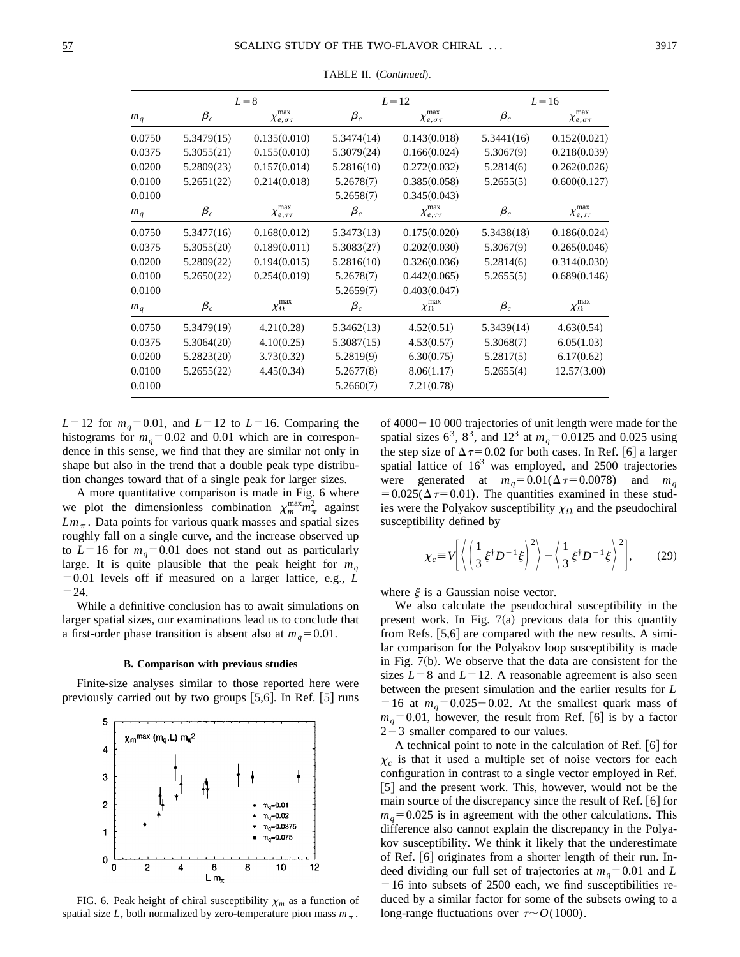|        | $L=8$      |                                 | $L=12$     |                                 | $L=16$     |                                 |
|--------|------------|---------------------------------|------------|---------------------------------|------------|---------------------------------|
| $m_q$  | $\beta_c$  | $\chi^{\rm max}_{e,\sigma\tau}$ | $\beta_c$  | $\chi^{\rm max}_{e,\sigma\tau}$ | $\beta_c$  | $\chi^{\rm max}_{e,\sigma\tau}$ |
| 0.0750 | 5.3479(15) | 0.135(0.010)                    | 5.3474(14) | 0.143(0.018)                    | 5.3441(16) | 0.152(0.021)                    |
| 0.0375 | 5.3055(21) | 0.155(0.010)                    | 5.3079(24) | 0.166(0.024)                    | 5.3067(9)  | 0.218(0.039)                    |
| 0.0200 | 5.2809(23) | 0.157(0.014)                    | 5.2816(10) | 0.272(0.032)                    | 5.2814(6)  | 0.262(0.026)                    |
| 0.0100 | 5.2651(22) | 0.214(0.018)                    | 5.2678(7)  | 0.385(0.058)                    | 5.2655(5)  | 0.600(0.127)                    |
| 0.0100 |            |                                 | 5.2658(7)  | 0.345(0.043)                    |            |                                 |
| $m_q$  | $\beta_c$  | $\chi^{\rm max}_{e,\tau\tau}$   | $\beta_c$  | $\chi^{\rm max}_{e,\tau\tau}$   | $\beta_c$  | $\chi^{\rm max}_{e,\tau\tau}$   |
| 0.0750 | 5.3477(16) | 0.168(0.012)                    | 5.3473(13) | 0.175(0.020)                    | 5.3438(18) | 0.186(0.024)                    |
| 0.0375 | 5.3055(20) | 0.189(0.011)                    | 5.3083(27) | 0.202(0.030)                    | 5.3067(9)  | 0.265(0.046)                    |
| 0.0200 | 5.2809(22) | 0.194(0.015)                    | 5.2816(10) | 0.326(0.036)                    | 5.2814(6)  | 0.314(0.030)                    |
| 0.0100 | 5.2650(22) | 0.254(0.019)                    | 5.2678(7)  | 0.442(0.065)                    | 5.2655(5)  | 0.689(0.146)                    |
| 0.0100 |            |                                 | 5.2659(7)  | 0.403(0.047)                    |            |                                 |
| $m_q$  | $\beta_c$  | $\chi_{\Omega}^{\rm max}$       | $\beta_c$  | $\chi_{\Omega}^{\rm max}$       | $\beta_c$  | $\chi_{\Omega}^{\rm max}$       |
| 0.0750 | 5.3479(19) | 4.21(0.28)                      | 5.3462(13) | 4.52(0.51)                      | 5.3439(14) | 4.63(0.54)                      |
| 0.0375 | 5.3064(20) | 4.10(0.25)                      | 5.3087(15) | 4.53(0.57)                      | 5.3068(7)  | 6.05(1.03)                      |
| 0.0200 | 5.2823(20) | 3.73(0.32)                      | 5.2819(9)  | 6.30(0.75)                      | 5.2817(5)  | 6.17(0.62)                      |
| 0.0100 | 5.2655(22) | 4.45(0.34)                      | 5.2677(8)  | 8.06(1.17)                      | 5.2655(4)  | 12.57(3.00)                     |
| 0.0100 |            |                                 | 5.2660(7)  | 7.21(0.78)                      |            |                                 |

TABLE II. (Continued).

 $L=12$  for  $m_q=0.01$ , and  $L=12$  to  $L=16$ . Comparing the histograms for  $m_q$ =0.02 and 0.01 which are in correspondence in this sense, we find that they are similar not only in shape but also in the trend that a double peak type distribution changes toward that of a single peak for larger sizes.

A more quantitative comparison is made in Fig. 6 where we plot the dimensionless combination  $\chi_m^{\max} m_\pi^2$  against  $Lm_{\pi}$ . Data points for various quark masses and spatial sizes roughly fall on a single curve, and the increase observed up to  $L=16$  for  $m_q=0.01$  does not stand out as particularly large. It is quite plausible that the peak height for  $m_q$  $=0.01$  levels off if measured on a larger lattice, e.g.,  $\overline{L}$  $=24.$ 

While a definitive conclusion has to await simulations on larger spatial sizes, our examinations lead us to conclude that a first-order phase transition is absent also at  $m_q = 0.01$ .

#### **B. Comparison with previous studies**

Finite-size analyses similar to those reported here were previously carried out by two groups  $[5,6]$ . In Ref.  $[5]$  runs



FIG. 6. Peak height of chiral susceptibility  $\chi_m$  as a function of spatial size *L*, both normalized by zero-temperature pion mass  $m_\pi$ .

of  $4000 - 10000$  trajectories of unit length were made for the spatial sizes  $6^3$ ,  $8^3$ , and  $12^3$  at  $m_q = 0.0125$  and 0.025 using the step size of  $\Delta \tau$ = 0.02 for both cases. In Ref. [6] a larger spatial lattice of  $16<sup>3</sup>$  was employed, and 2500 trajectories were generated at  $m_a=0.01(\Delta\tau=0.0078)$  and  $m_a$  $=0.025(\Delta \tau=0.01)$ . The quantities examined in these studies were the Polyakov susceptibility  $\chi_{\Omega}$  and the pseudochiral susceptibility defined by

$$
\chi_c \equiv V \left[ \left\langle \left( \frac{1}{3} \xi^{\dagger} D^{-1} \xi \right)^2 \right\rangle - \left\langle \frac{1}{3} \xi^{\dagger} D^{-1} \xi \right\rangle^2 \right], \tag{29}
$$

where  $\xi$  is a Gaussian noise vector.

We also calculate the pseudochiral susceptibility in the present work. In Fig.  $7(a)$  previous data for this quantity from Refs.  $|5,6|$  are compared with the new results. A similar comparison for the Polyakov loop susceptibility is made in Fig.  $7(b)$ . We observe that the data are consistent for the sizes  $L=8$  and  $L=12$ . A reasonable agreement is also seen between the present simulation and the earlier results for *L*  $=16$  at  $m_q=0.025-0.02$ . At the smallest quark mass of  $m_q=0.01$ , however, the result from Ref. [6] is by a factor  $2-3$  smaller compared to our values.

A technical point to note in the calculation of Ref.  $\lceil 6 \rceil$  for  $\chi_c$  is that it used a multiple set of noise vectors for each configuration in contrast to a single vector employed in Ref. [5] and the present work. This, however, would not be the main source of the discrepancy since the result of Ref.  $[6]$  for  $m_q = 0.025$  is in agreement with the other calculations. This difference also cannot explain the discrepancy in the Polyakov susceptibility. We think it likely that the underestimate of Ref. [6] originates from a shorter length of their run. Indeed dividing our full set of trajectories at  $m_q = 0.01$  and *L*  $=16$  into subsets of 2500 each, we find susceptibilities reduced by a similar factor for some of the subsets owing to a long-range fluctuations over  $\tau \sim O(1000)$ .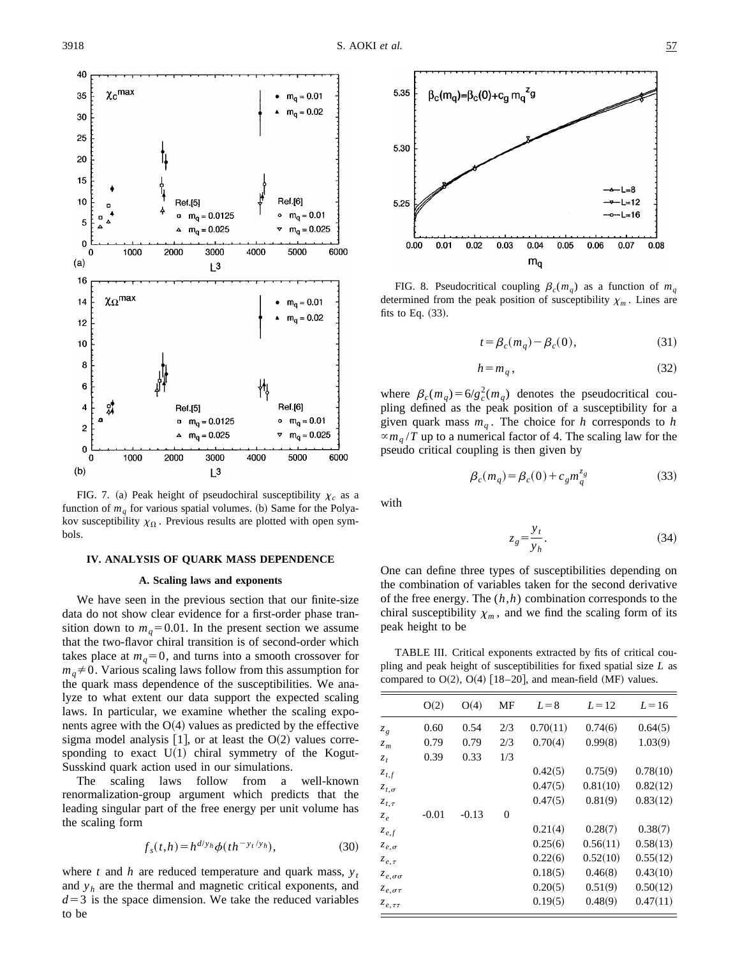

FIG. 7. (a) Peak height of pseudochiral susceptibility  $\chi_c$  as a function of  $m_q$  for various spatial volumes. (b) Same for the Polyakov susceptibility  $\chi_{\Omega}$ . Previous results are plotted with open symbols.

# **IV. ANALYSIS OF QUARK MASS DEPENDENCE**

### **A. Scaling laws and exponents**

We have seen in the previous section that our finite-size data do not show clear evidence for a first-order phase transition down to  $m_q = 0.01$ . In the present section we assume that the two-flavor chiral transition is of second-order which takes place at  $m_q=0$ , and turns into a smooth crossover for  $m_q \neq 0$ . Various scaling laws follow from this assumption for the quark mass dependence of the susceptibilities. We analyze to what extent our data support the expected scaling laws. In particular, we examine whether the scaling exponents agree with the  $O(4)$  values as predicted by the effective sigma model analysis  $[1]$ , or at least the O(2) values corresponding to exact  $U(1)$  chiral symmetry of the Kogut-Susskind quark action used in our simulations.

The scaling laws follow from a well-known renormalization-group argument which predicts that the leading singular part of the free energy per unit volume has the scaling form

$$
f_s(t,h) = h^{d/y_h} \phi(th^{-y_t/y_h}),
$$
\n(30)

where *t* and *h* are reduced temperature and quark mass,  $y_t$ and  $y_h$  are the thermal and magnetic critical exponents, and  $d=3$  is the space dimension. We take the reduced variables to be



FIG. 8. Pseudocritical coupling  $\beta_c(m_q)$  as a function of  $m_q$ determined from the peak position of susceptibility  $\chi_m$ . Lines are fits to Eq.  $(33)$ .

$$
t = \beta_c(m_q) - \beta_c(0),\tag{31}
$$

$$
h = m_q, \tag{32}
$$

where  $\beta_c(m_q) = 6/g_c^2(m_q)$  denotes the pseudocritical coupling defined as the peak position of a susceptibility for a given quark mass  $m_q$ . The choice for *h* corresponds to *h*  $\propto m_q/T$  up to a numerical factor of 4. The scaling law for the pseudo critical coupling is then given by

$$
\beta_c(m_q) = \beta_c(0) + c_g m_q^{\bar{z}_g} \tag{33}
$$

with

$$
z_g = \frac{y_t}{y_h}.\tag{34}
$$

One can define three types of susceptibilities depending on the combination of variables taken for the second derivative of the free energy. The (*h*,*h*) combination corresponds to the chiral susceptibility  $\chi_m$ , and we find the scaling form of its peak height to be

TABLE III. Critical exponents extracted by fits of critical coupling and peak height of susceptibilities for fixed spatial size *L* as compared to  $O(2)$ ,  $O(4)$  [18–20], and mean-field (MF) values.

|                      | O(2)    | O(4)    | MF  | $L=8$    | $L=12$   | $L = 16$ |
|----------------------|---------|---------|-----|----------|----------|----------|
| $z_g$                | 0.60    | 0.54    | 2/3 | 0.70(11) | 0.74(6)  | 0.64(5)  |
| $z_m$                | 0.79    | 0.79    | 2/3 | 0.70(4)  | 0.99(8)  | 1.03(9)  |
| $z_t$                | 0.39    | 0.33    | 1/3 |          |          |          |
| $z_{t,f}$            |         |         |     | 0.42(5)  | 0.75(9)  | 0.78(10) |
| $z_{t,\sigma}$       |         |         |     | 0.47(5)  | 0.81(10) | 0.82(12) |
| $z_{t, \tau}$        |         |         |     | 0.47(5)  | 0.81(9)  | 0.83(12) |
| $z_e$                | $-0.01$ | $-0.13$ | 0   |          |          |          |
| $z_{e,f}$            |         |         |     | 0.21(4)  | 0.28(7)  | 0.38(7)  |
| $z_{e,\sigma}$       |         |         |     | 0.25(6)  | 0.56(11) | 0.58(13) |
| $z_{e,\tau}$         |         |         |     | 0.22(6)  | 0.52(10) | 0.55(12) |
| $z_{e,\sigma\sigma}$ |         |         |     | 0.18(5)  | 0.46(8)  | 0.43(10) |
| $z_{e,\sigma\tau}$   |         |         |     | 0.20(5)  | 0.51(9)  | 0.50(12) |
| $z_{e,\tau\tau}$     |         |         |     | 0.19(5)  | 0.48(9)  | 0.47(11) |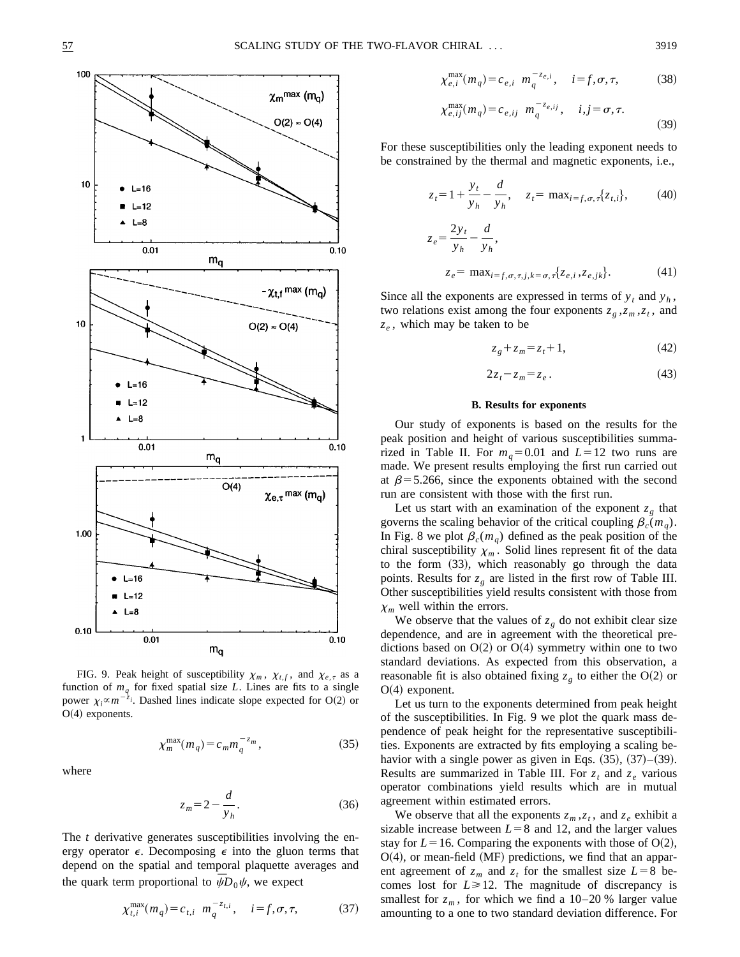

FIG. 9. Peak height of susceptibility  $\chi_m$ ,  $\chi_{t,f}$ , and  $\chi_{e,\tau}$  as a function of  $m_q$  for fixed spatial size *L*. Lines are fits to a single power  $\chi_i \propto m^{-2}$ *i*. Dashed lines indicate slope expected for O(2) or  $O(4)$  exponents.

$$
\chi_m^{\max}(m_q) = c_m m_q^{-z_m},\tag{35}
$$

where

$$
z_m = 2 - \frac{d}{y_h}.\tag{36}
$$

The *t* derivative generates susceptibilities involving the energy operator  $\epsilon$ . Decomposing  $\epsilon$  into the gluon terms that depend on the spatial and temporal plaquette averages and the quark term proportional to  $\bar{\psi}D_0\psi$ , we expect

$$
\chi_{t,i}^{\max}(m_q) = c_{t,i} \ m_q^{-z_{t,i}}, \quad i = f, \sigma, \tau,
$$
 (37)

$$
\chi_{e,i}^{\max}(m_q) = c_{e,i} \ m_q^{-z_{e,i}}, \quad i = f, \sigma, \tau,
$$
 (38)

$$
\chi_{e,ij}^{\max}(m_q) = c_{e,ij} \ m_q^{-z_{e,ij}}, \quad i,j = \sigma, \tau.
$$
 (39)

For these susceptibilities only the leading exponent needs to be constrained by the thermal and magnetic exponents, i.e.,

$$
z_t = 1 + \frac{y_t}{y_h} - \frac{d}{y_h}, \quad z_t = \max_{i = f, \sigma, \tau} \{z_{t,i}\},
$$
 (40)

$$
z_e = \frac{2y_t}{y_h} - \frac{d}{y_h},
$$
  
\n
$$
z_e = \max_{i=f, \sigma, \tau, j, k=\sigma, \tau} \{z_{e,i}, z_{e,jk}\}.
$$
 (41)

Since all the exponents are expressed in terms of  $y_t$  and  $y_h$ , two relations exist among the four exponents  $z_g$ , $z_m$ , $z_t$ , and  $z_e$ , which may be taken to be

$$
z_g + z_m = z_t + 1,\tag{42}
$$

$$
2z_t - z_m = z_e. \tag{43}
$$

#### **B. Results for exponents**

Our study of exponents is based on the results for the peak position and height of various susceptibilities summarized in Table II. For  $m_q=0.01$  and  $L=12$  two runs are made. We present results employing the first run carried out at  $\beta$ =5.266, since the exponents obtained with the second run are consistent with those with the first run.

Let us start with an examination of the exponent  $z_g$  that governs the scaling behavior of the critical coupling  $\beta_c(m_q)$ . In Fig. 8 we plot  $\beta_c(m_q)$  defined as the peak position of the chiral susceptibility  $\chi_m$ . Solid lines represent fit of the data to the form  $(33)$ , which reasonably go through the data points. Results for  $z<sub>g</sub>$  are listed in the first row of Table III. Other susceptibilities yield results consistent with those from  $\chi_m$  well within the errors.

We observe that the values of  $z_g$  do not exhibit clear size dependence, and are in agreement with the theoretical predictions based on  $O(2)$  or  $O(4)$  symmetry within one to two standard deviations. As expected from this observation, a reasonable fit is also obtained fixing  $z_g$  to either the O(2) or  $O(4)$  exponent.

Let us turn to the exponents determined from peak height of the susceptibilities. In Fig. 9 we plot the quark mass dependence of peak height for the representative susceptibilities. Exponents are extracted by fits employing a scaling behavior with a single power as given in Eqs.  $(35)$ ,  $(37)–(39)$ . Results are summarized in Table III. For  $z_t$  and  $z_e$  various operator combinations yield results which are in mutual agreement within estimated errors.

We observe that all the exponents  $z_m$ ,  $z_t$ , and  $z_e$  exhibit a sizable increase between  $L=8$  and 12, and the larger values stay for  $L=16$ . Comparing the exponents with those of O(2),  $O(4)$ , or mean-field  $(MF)$  predictions, we find that an apparent agreement of  $z_m$  and  $z_t$  for the smallest size  $L=8$  becomes lost for  $L \ge 12$ . The magnitude of discrepancy is smallest for  $z_m$ , for which we find a 10–20 % larger value amounting to a one to two standard deviation difference. For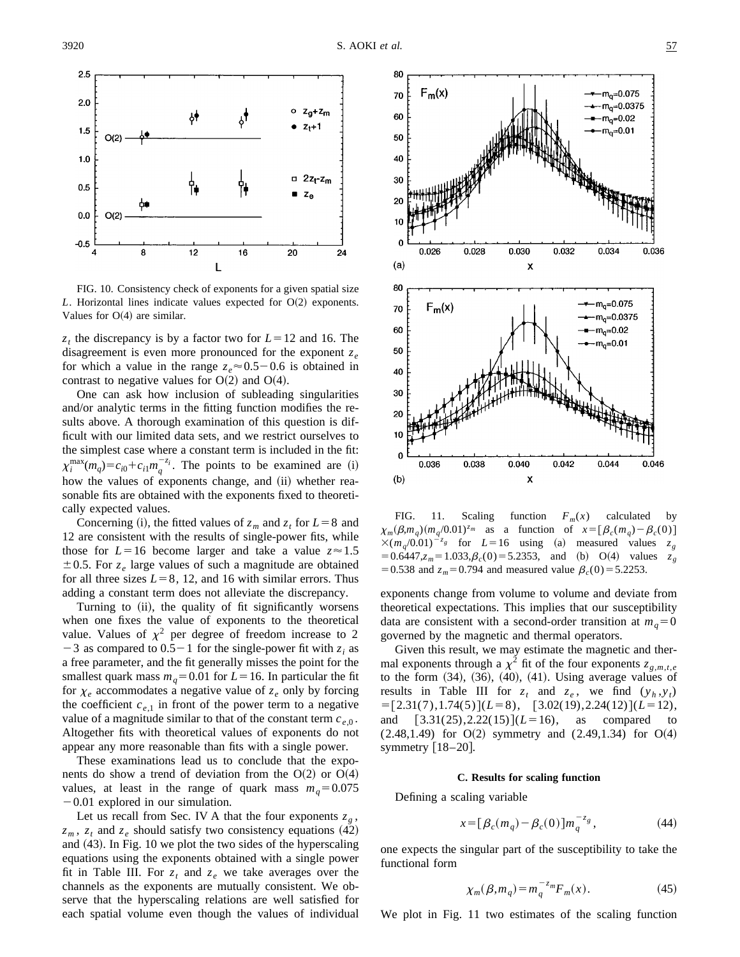

FIG. 10. Consistency check of exponents for a given spatial size *L*. Horizontal lines indicate values expected for  $O(2)$  exponents. Values for  $O(4)$  are similar.

 $z_t$  the discrepancy is by a factor two for  $L=12$  and 16. The disagreement is even more pronounced for the exponent  $z_e$ for which a value in the range  $z_e \approx 0.5-0.6$  is obtained in contrast to negative values for  $O(2)$  and  $O(4)$ .

One can ask how inclusion of subleading singularities and/or analytic terms in the fitting function modifies the results above. A thorough examination of this question is difficult with our limited data sets, and we restrict ourselves to the simplest case where a constant term is included in the fit:  $\chi_i^{\max}(m_q) = c_{i0} + c_{i1}m_q^{-z_i}$ . The points to be examined are (i) how the values of exponents change, and (ii) whether reasonable fits are obtained with the exponents fixed to theoretically expected values.

Concerning (i), the fitted values of  $z_m$  and  $z_t$  for  $L=8$  and 12 are consistent with the results of single-power fits, while those for  $L=16$  become larger and take a value  $z \approx 1.5$  $\pm$  0.5. For  $z_e$  large values of such a magnitude are obtained for all three sizes  $L=8$ , 12, and 16 with similar errors. Thus adding a constant term does not alleviate the discrepancy.

Turning to (ii), the quality of fit significantly worsens when one fixes the value of exponents to the theoretical value. Values of  $\chi^2$  per degree of freedom increase to 2  $-3$  as compared to  $0.5-1$  for the single-power fit with  $z_i$  as a free parameter, and the fit generally misses the point for the smallest quark mass  $m_q$ =0.01 for *L*=16. In particular the fit for  $\chi_e$  accommodates a negative value of  $z_e$  only by forcing the coefficient  $c_{e,1}$  in front of the power term to a negative value of a magnitude similar to that of the constant term  $c_{e,0}$ . Altogether fits with theoretical values of exponents do not appear any more reasonable than fits with a single power.

These examinations lead us to conclude that the exponents do show a trend of deviation from the  $O(2)$  or  $O(4)$ values, at least in the range of quark mass  $m_q = 0.075$  $-0.01$  explored in our simulation.

Let us recall from Sec. IV A that the four exponents  $z_g$ ,  $z_m$ ,  $z_t$  and  $z_e$  should satisfy two consistency equations (42) and  $(43)$ . In Fig. 10 we plot the two sides of the hyperscaling equations using the exponents obtained with a single power fit in Table III. For  $z_t$  and  $z_e$  we take averages over the channels as the exponents are mutually consistent. We observe that the hyperscaling relations are well satisfied for each spatial volume even though the values of individual



FIG. 11. Scaling function  $F_m(x)$  calculated by  $\chi_m(\beta,m_q)(m_q/0.01)^{z_m}$  as a function of  $x=[\beta_c(m_q)-\beta_c(0)]$  $\times (m_q/0.01)^{-z_g}$  for  $L=16$  using (a) measured values  $=0.6447$ , $z_m = 1.033$ , $\beta_c(0) = 5.2353$ , and (b) O(4) values  $z_g$ = 0.538 and  $z_m$ = 0.794 and measured value  $\beta_c(0)$  = 5.2253.

exponents change from volume to volume and deviate from theoretical expectations. This implies that our susceptibility data are consistent with a second-order transition at  $m_q=0$ governed by the magnetic and thermal operators.

Given this result, we may estimate the magnetic and thermal exponents through a  $\chi^2$  fit of the four exponents  $z_{g,m,t,e}$ to the form  $(34)$ ,  $(36)$ ,  $(40)$ ,  $(41)$ . Using average values of results in Table III for  $z_t$  and  $z_e$ , we find  $(y_h, y_t)$  $=[2.31(7),1.74(5)](L=8), [3.02(19),2.24(12)](L=12),$ and  $[3.31(25), 2.22(15)]$  ( $L=16$ ), as compared to  $(2.48, 1.49)$  for O(2) symmetry and  $(2.49, 1.34)$  for O(4) symmetry  $\lfloor 18-20 \rfloor$ .

#### **C. Results for scaling function**

Defining a scaling variable

$$
x = \left[\beta_c(m_q) - \beta_c(0)\right]m_q^{-z_g},\tag{44}
$$

one expects the singular part of the susceptibility to take the functional form

$$
\chi_m(\beta, m_q) = m_q^{-z_m} F_m(x). \tag{45}
$$

We plot in Fig. 11 two estimates of the scaling function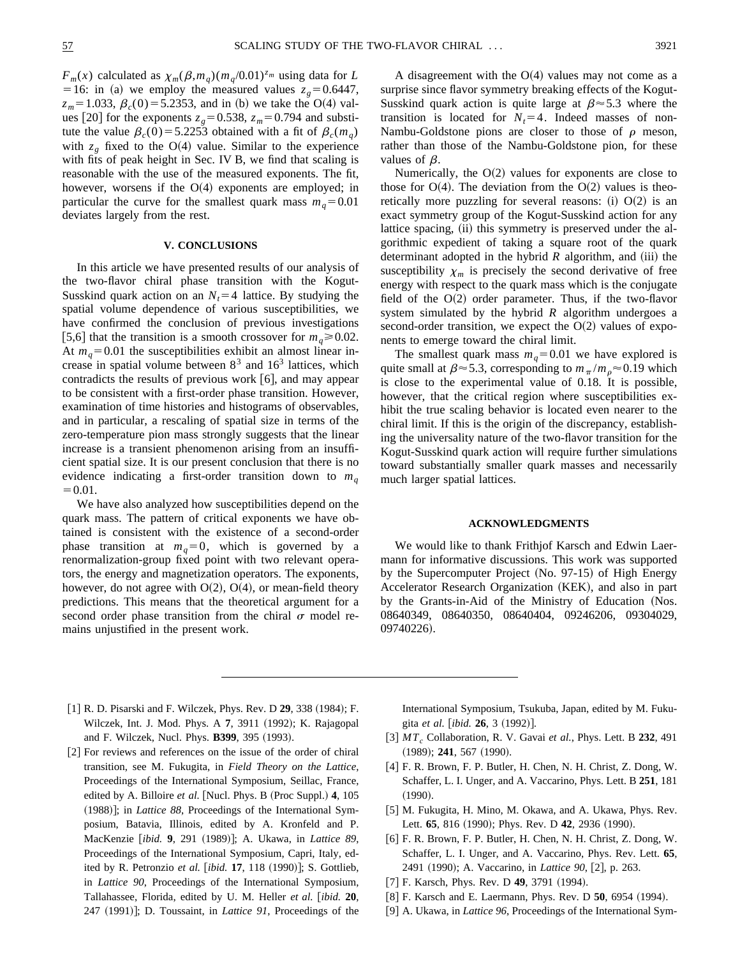$F_m(x)$  calculated as  $\chi_m(\beta,m_q)(m_q/0.01)^{z_m}$  using data for *L* =16: in (a) we employ the measured values  $z_g = 0.6447$ ,  $z_m$ =1.033,  $\beta_c$ (0) = 5.2353, and in (b) we take the O(4) values [20] for the exponents  $z_g = 0.538$ ,  $z_m = 0.794$  and substitute the value  $\beta_c(0) = 5.2253$  obtained with a fit of  $\beta_c(m_q)$ with  $z_g$  fixed to the O(4) value. Similar to the experience with fits of peak height in Sec. IV B, we find that scaling is reasonable with the use of the measured exponents. The fit, however, worsens if the  $O(4)$  exponents are employed; in particular the curve for the smallest quark mass  $m_q = 0.01$ deviates largely from the rest.

### **V. CONCLUSIONS**

In this article we have presented results of our analysis of the two-flavor chiral phase transition with the Kogut-Susskind quark action on an  $N<sub>t</sub>=4$  lattice. By studying the spatial volume dependence of various susceptibilities, we have confirmed the conclusion of previous investigations [5,6] that the transition is a smooth crossover for  $m_q \ge 0.02$ . At  $m_q$ =0.01 the susceptibilities exhibit an almost linear increase in spatial volume between  $8<sup>3</sup>$  and  $16<sup>3</sup>$  lattices, which contradicts the results of previous work  $[6]$ , and may appear to be consistent with a first-order phase transition. However, examination of time histories and histograms of observables, and in particular, a rescaling of spatial size in terms of the zero-temperature pion mass strongly suggests that the linear increase is a transient phenomenon arising from an insufficient spatial size. It is our present conclusion that there is no evidence indicating a first-order transition down to  $m_q$  $=0.01.$ 

We have also analyzed how susceptibilities depend on the quark mass. The pattern of critical exponents we have obtained is consistent with the existence of a second-order phase transition at  $m_q=0$ , which is governed by a renormalization-group fixed point with two relevant operators, the energy and magnetization operators. The exponents, however, do not agree with  $O(2)$ ,  $O(4)$ , or mean-field theory predictions. This means that the theoretical argument for a second order phase transition from the chiral  $\sigma$  model remains unjustified in the present work.

A disagreement with the  $O(4)$  values may not come as a surprise since flavor symmetry breaking effects of the Kogut-Susskind quark action is quite large at  $\beta \approx 5.3$  where the transition is located for  $N<sub>t</sub>=4$ . Indeed masses of non-Nambu-Goldstone pions are closer to those of  $\rho$  meson, rather than those of the Nambu-Goldstone pion, for these values of  $\beta$ .

Numerically, the  $O(2)$  values for exponents are close to those for  $O(4)$ . The deviation from the  $O(2)$  values is theoretically more puzzling for several reasons:  $(i)$  O $(2)$  is an exact symmetry group of the Kogut-Susskind action for any lattice spacing, (ii) this symmetry is preserved under the algorithmic expedient of taking a square root of the quark determinant adopted in the hybrid  $R$  algorithm, and (iii) the susceptibility  $\chi_m$  is precisely the second derivative of free energy with respect to the quark mass which is the conjugate field of the  $O(2)$  order parameter. Thus, if the two-flavor system simulated by the hybrid *R* algorithm undergoes a second-order transition, we expect the  $O(2)$  values of exponents to emerge toward the chiral limit.

The smallest quark mass  $m_q = 0.01$  we have explored is quite small at  $\beta \approx 5.3$ , corresponding to  $m_\pi/m_\rho \approx 0.19$  which is close to the experimental value of 0.18. It is possible, however, that the critical region where susceptibilities exhibit the true scaling behavior is located even nearer to the chiral limit. If this is the origin of the discrepancy, establishing the universality nature of the two-flavor transition for the Kogut-Susskind quark action will require further simulations toward substantially smaller quark masses and necessarily much larger spatial lattices.

# **ACKNOWLEDGMENTS**

We would like to thank Frithjof Karsch and Edwin Laermann for informative discussions. This work was supported by the Supercomputer Project  $(N_0, 97-15)$  of High Energy Accelerator Research Organization (KEK), and also in part by the Grants-in-Aid of the Ministry of Education (Nos. 08640349, 08640350, 08640404, 09246206, 09304029, 09740226).

- [1] R. D. Pisarski and F. Wilczek, Phys. Rev. D **29**, 338 (1984); F. Wilczek, Int. J. Mod. Phys. A 7, 3911 (1992); K. Rajagopal and F. Wilczek, Nucl. Phys. **B399**, 395 (1993).
- [2] For reviews and references on the issue of the order of chiral transition, see M. Fukugita, in *Field Theory on the Lattice*, Proceedings of the International Symposium, Seillac, France, edited by A. Billoire et al. [Nucl. Phys. B (Proc Suppl.) 4, 105 (1988)]; in *Lattice 88*, Proceedings of the International Symposium, Batavia, Illinois, edited by A. Kronfeld and P. MacKenzie [ibid. 9, 291 (1989)]; A. Ukawa, in *Lattice 89*, Proceedings of the International Symposium, Capri, Italy, edited by R. Petronzio et al. [ibid. 17, 118 (1990)]; S. Gottlieb, in *Lattice 90*, Proceedings of the International Symposium, Tallahassee, Florida, edited by U. M. Heller et al. [ibid. 20, 247 (1991)]; D. Toussaint, in *Lattice 91*, Proceedings of the

International Symposium, Tsukuba, Japan, edited by M. Fukugita et al. [ibid. **26**, 3 (1992)].

- @3# *MTc* Collaboration, R. V. Gavai *et al.*, Phys. Lett. B **232**, 491 (1989); **241**, 567 (1990).
- [4] F. R. Brown, F. P. Butler, H. Chen, N. H. Christ, Z. Dong, W. Schaffer, L. I. Unger, and A. Vaccarino, Phys. Lett. B **251**, 181  $(1990).$
- [5] M. Fukugita, H. Mino, M. Okawa, and A. Ukawa, Phys. Rev. Lett. **65**, 816 (1990); Phys. Rev. D **42**, 2936 (1990).
- $[6]$  F. R. Brown, F. P. Butler, H. Chen, N. H. Christ, Z. Dong, W. Schaffer, L. I. Unger, and A. Vaccarino, Phys. Rev. Lett. **65**, 2491 (1990); A. Vaccarino, in *Lattice 90*, [2], p. 263.
- [7] F. Karsch, Phys. Rev. D **49**, 3791 (1994).
- [8] F. Karsch and E. Laermann, Phys. Rev. D **50**, 6954 (1994).
- [9] A. Ukawa, in *Lattice 96*, Proceedings of the International Sym-